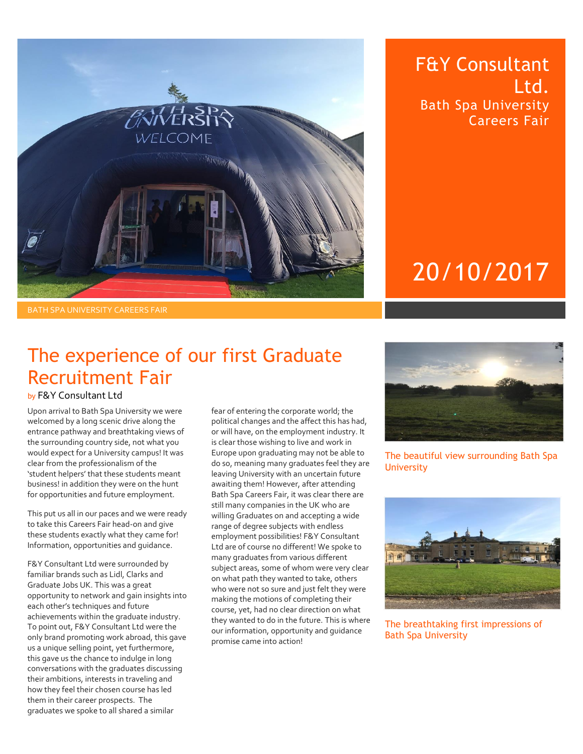

### F&Y Consultant Ltd. Bath Spa University Careers Fair

# 20/10/2017

### The experience of our first Graduate Recruitment Fair

#### by F&Y Consultant Ltd

Upon arrival to Bath Spa University we were welcomed by a long scenic drive along the entrance pathway and breathtaking views of the surrounding country side, not what you would expect for a University campus! It was clear from the professionalism of the 'student helpers' that these students meant business! in addition they were on the hunt for opportunities and future employment.

This put us all in our paces and we were ready to take this Careers Fair head-on and give these students exactly what they came for! Information, opportunities and guidance.

F&Y Consultant Ltd were surrounded by familiar brands such as Lidl, Clarks and Graduate Jobs UK. This was a great opportunity to network and gain insights into each other's techniques and future achievements within the graduate industry. To point out, F&Y Consultant Ltd were the only brand promoting work abroad, this gave us a unique selling point, yet furthermore, this gave us the chance to indulge in long conversations with the graduates discussing their ambitions, interests in traveling and how they feel their chosen course has led them in their career prospects. The graduates we spoke to all shared a similar

fear of entering the corporate world; the political changes and the affect this has had, or will have, on the employment industry. It is clear those wishing to live and work in Europe upon graduating may not be able to do so, meaning many graduates feel they are leaving University with an uncertain future awaiting them! However, after attending Bath Spa Careers Fair, it was clear there are still many companies in the UK who are willing Graduates on and accepting a wide range of degree subjects with endless employment possibilities! F&Y Consultant Ltd are of course no different! We spoke to many graduates from various different subject areas, some of whom were very clear on what path they wanted to take, others who were not so sure and just felt they were making the motions of completing their course, yet, had no clear direction on what they wanted to do in the future. This is where our information, opportunity and guidance promise came into action!



#### The beautiful view surrounding Bath Spa **University**



The breathtaking first impressions of Bath Spa University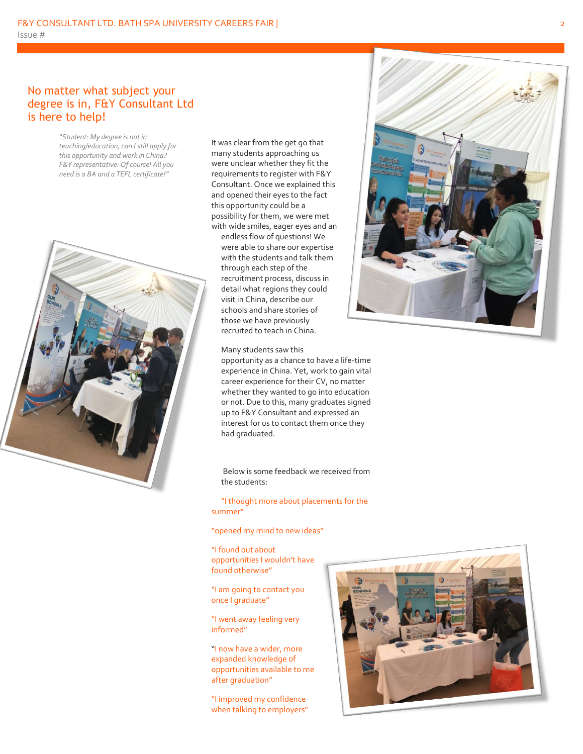#### No matter what subject your degree is in, F&Y Consultant Ltd is here to help!

*"Student: My degree is not in teaching/education, can I still apply for this opportunity and work in China? F&Y representative: Of course! All you need is a BA and a TEFL certificate!"* 



It was clear from the get go that many students approaching us were unclear whether they fit the requirements to register with F&Y Consultant. Once we explained this and opened their eyes to the fact this opportunity could be a possibility for them, we were met with wide smiles, eager eyes and an endless flow of questions! We were able to share our expertise with the students and talk them through each step of the recruitment process, discuss in detail what regions they could visit in China, describe our schools and share stories of those we have previously recruited to teach in China.

Many students saw this

opportunity as a chance to have a life-time experience in China. Yet, work to gain vital career experience for their CV, no matter whether they wanted to go into education or not. Due to this, many graduates signed up to F&Y Consultant and expressed an interest for us to contact them once they had graduated.

Below is some feedback we received from the students:

"I thought more about placements for the summer"

"opened my mind to new ideas"

"I found out about opportunities I wouldn't have found otherwise"

"I am going to contact you once I graduate"

"I went away feeling very informed"

"I now have a wider, more expanded knowledge of opportunities available to me after graduation"

"I improved my confidence when talking to employers"



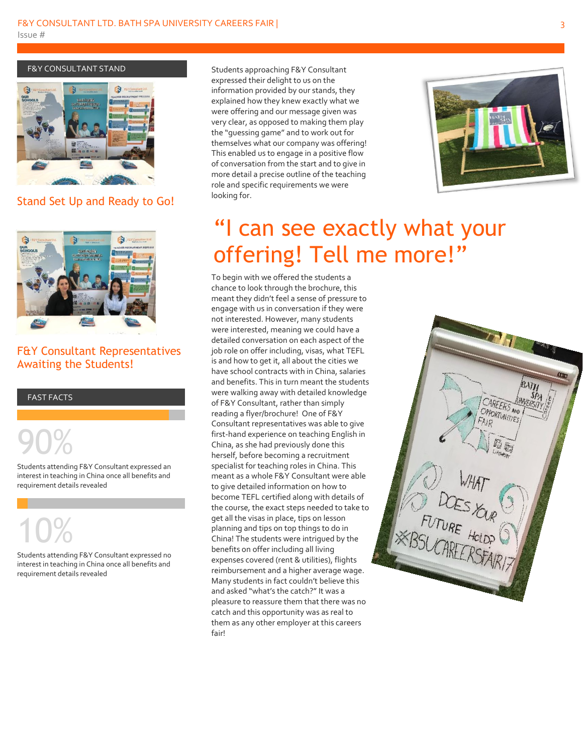#### F&Y CONSULTANT STAND



Stand Set Up and Ready to Go!



#### F&Y Consultant Representatives Awaiting the Students!

#### FAST FACTS

90%

Students attending F&Y Consultant expressed an interest in teaching in China once all benefits and requirement details revealed

# 10%

Students attending F&Y Consultant expressed no interest in teaching in China once all benefits and requirement details revealed

Students approaching F&Y Consultant expressed their delight to us on the information provided by our stands, they explained how they knew exactly what we were offering and our message given was very clear, as opposed to making them play the "guessing game" and to work out for themselves what our company was offering! This enabled us to engage in a positive flow of conversation from the start and to give in more detail a precise outline of the teaching role and specific requirements we were looking for.



## "I can see exactly what your offering! Tell me more!"

To begin with we offered the students a chance to look through the brochure, this meant they didn't feel a sense of pressure to engage with us in conversation if they were not interested. However, many students were interested, meaning we could have a detailed conversation on each aspect of the job role on offer including, visas, what TEFL is and how to get it, all about the cities we have school contracts with in China, salaries and benefits. This in turn meant the students were walking away with detailed knowledge of F&Y Consultant, rather than simply reading a flyer/brochure! One of F&Y Consultant representatives was able to give first-hand experience on teaching English in China, as she had previously done this herself, before becoming a recruitment specialist for teaching roles in China. This meant as a whole F&Y Consultant were able to give detailed information on how to become TEFL certified along with details of the course, the exact steps needed to take to get all the visas in place, tips on lesson planning and tips on top things to do in China! The students were intrigued by the benefits on offer including all living expenses covered (rent & utilities), flights reimbursement and a higher average wage. Many students in fact couldn't believe this and asked "what's the catch?" It was a pleasure to reassure them that there was no catch and this opportunity was as real to them as any other employer at this careers fair!